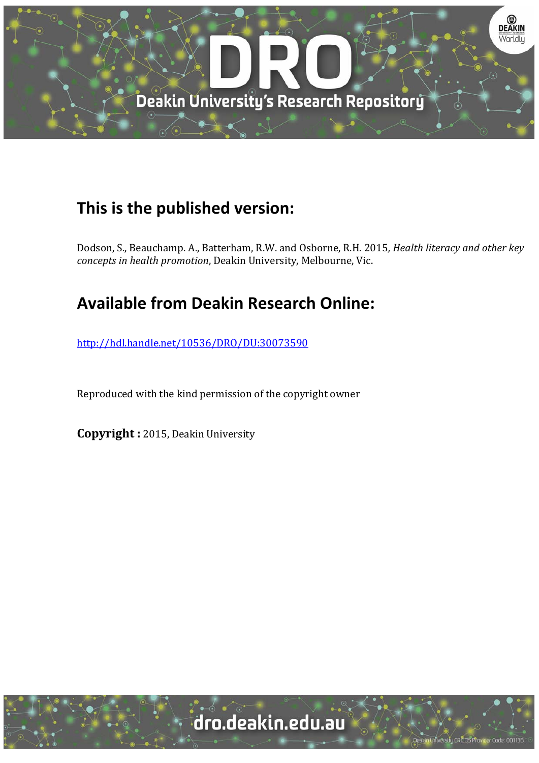

## **This is the published version:**

Dodson, S., Beauchamp. A., Batterham, R.W. and Osborne, R.H. 2015*, Health literacy and other key concepts in health promotion*, Deakin University, Melbourne, Vic. 

## **Available from Deakin Research Online:**

http://hdl.handle.net/10536/DRO/DU:30073590

Reproduced with the kind permission of the copyright owner

**Copyright** : 2015, Deakin University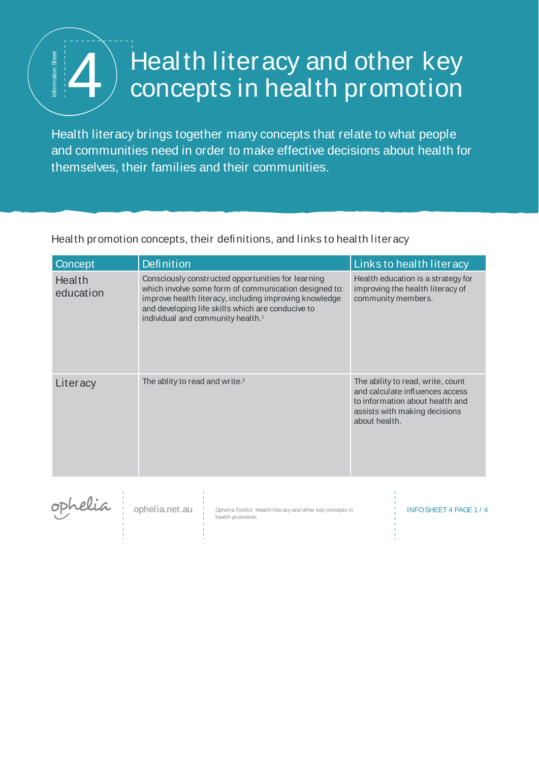## Health literacy and other key

Health literacy brings together many concepts that relate to what people and communities need in order to make effective decisions about health for  $\begin{tabular}{l|l|l|} \hline \textit{#} & \textit{Health literacy and other key} \\ \hline \textit{+} & \textit{concepts in health promotion} \\ \hline \textit{Health literacy brings together many concepts that relate to what people} \\ \hline \textit{themselves, their families and their communities.} \end{tabular}$ 

Health promotion concepts, their definitions, and links to health literacy

| Concept             | Definition     |                                                                                                                                                                                                                                                                             |  | Links to health literacy                                                                                                                                  |
|---------------------|----------------|-----------------------------------------------------------------------------------------------------------------------------------------------------------------------------------------------------------------------------------------------------------------------------|--|-----------------------------------------------------------------------------------------------------------------------------------------------------------|
| Health<br>education |                | Consciously constructed opportunities for learning<br>which involve some form of communication designed to:<br>improve health literacy, including improving knowledge<br>and developing life skills which are conducive to<br>individual and community health. <sup>1</sup> |  | Health education is a strategy for<br>improving the health literacy of<br>community members.                                                              |
| Literacy            |                | The ablity to read and write. <sup>2</sup>                                                                                                                                                                                                                                  |  | The ability to read, write, count<br>and calculate influences access<br>to information about health and<br>assists with making decisions<br>about health. |
| ophelia             | ophelia.net.au | Ophelia Toolkit Health literacy and other key concepts in<br>health promotion                                                                                                                                                                                               |  | <b>INFO SHEET 4 PAGE 1/4</b>                                                                                                                              |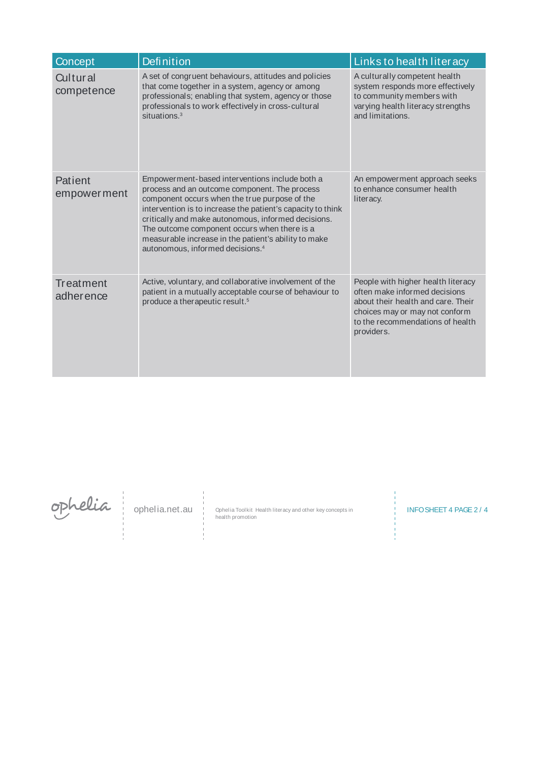| Concept                 | <b>Definition</b>                                                                                                                                                                                                                                                                                                                                                                                                              | Links to health literacy                                                                                                                                                                      |
|-------------------------|--------------------------------------------------------------------------------------------------------------------------------------------------------------------------------------------------------------------------------------------------------------------------------------------------------------------------------------------------------------------------------------------------------------------------------|-----------------------------------------------------------------------------------------------------------------------------------------------------------------------------------------------|
| Cultural<br>competence  | A set of congruent behaviours, attitudes and policies<br>that come together in a system, agency or among<br>professionals; enabling that system, agency or those<br>professionals to work effectively in cross-cultural<br>situations. <sup>3</sup>                                                                                                                                                                            | A culturally competent health<br>system responds more effectively<br>to community members with<br>varying health literacy strengths<br>and limitations.                                       |
| Patient<br>empower ment | Empowerment-based interventions include both a<br>process and an outcome component. The process<br>component occurs when the true purpose of the<br>intervention is to increase the patient's capacity to think<br>critically and make autonomous, informed decisions.<br>The outcome component occurs when there is a<br>measurable increase in the patient's ability to make<br>autonomous, informed decisions. <sup>4</sup> | An empowerment approach seeks<br>to enhance consumer health<br>literacy.                                                                                                                      |
| Treatment<br>adherence  | Active, voluntary, and collaborative involvement of the<br>patient in a mutually acceptable course of behaviour to<br>produce a therapeutic result. <sup>5</sup>                                                                                                                                                                                                                                                               | People with higher health literacy<br>often make informed decisions<br>about their health and care. Their<br>choices may or may not conform<br>to the recommendations of health<br>providers. |

ophelia.net.au

Ophelia Toolkit Health literacy and other key concepts in Fig. INFO SHEET 4 PAGE 2 / 4<br>health promotion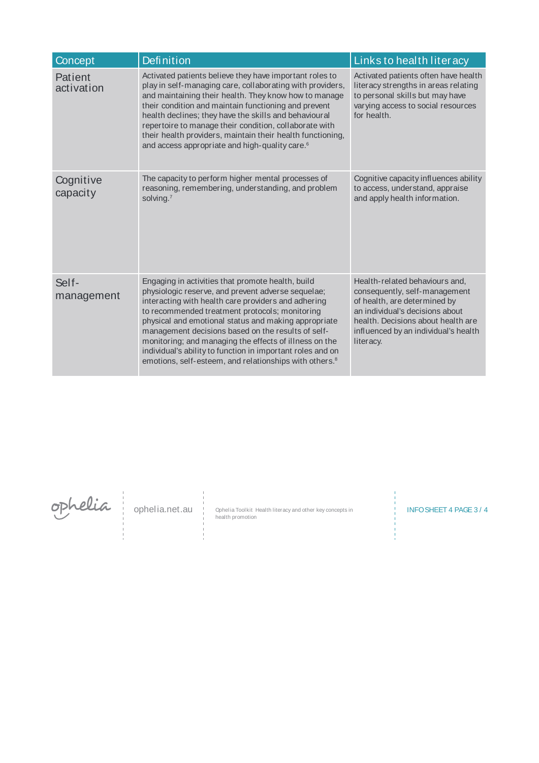| Concept               | <b>Definition</b>                                                                                                                                                                                                                                                                                                                                                                                                                                                                                                            | Links to health literacy                                                                                                                                                                                                      |
|-----------------------|------------------------------------------------------------------------------------------------------------------------------------------------------------------------------------------------------------------------------------------------------------------------------------------------------------------------------------------------------------------------------------------------------------------------------------------------------------------------------------------------------------------------------|-------------------------------------------------------------------------------------------------------------------------------------------------------------------------------------------------------------------------------|
| Patient<br>activation | Activated patients believe they have important roles to<br>play in self-managing care, collaborating with providers,<br>and maintaining their health. They know how to manage<br>their condition and maintain functioning and prevent<br>health declines; they have the skills and behavioural<br>repertoire to manage their condition, collaborate with<br>their health providers, maintain their health functioning,<br>and access appropriate and high-quality care. <sup>6</sup>                                         | Activated patients often have health<br>literacy strengths in areas relating<br>to personal skills but may have<br>varying access to social resources<br>for health.                                                          |
| Cognitive<br>capacity | The capacity to perform higher mental processes of<br>reasoning, remembering, understanding, and problem<br>solving.7                                                                                                                                                                                                                                                                                                                                                                                                        | Cognitive capacity influences ability<br>to access, understand, appraise<br>and apply health information.                                                                                                                     |
| Self-<br>management   | Engaging in activities that promote health, build<br>physiologic reserve, and prevent adverse sequelae;<br>interacting with health care providers and adhering<br>to recommended treatment protocols; monitoring<br>physical and emotional status and making appropriate<br>management decisions based on the results of self-<br>monitoring; and managing the effects of illness on the<br>individual's ability to function in important roles and on<br>emotions, self-esteem, and relationships with others. <sup>8</sup> | Health-related behaviours and,<br>consequently, self-management<br>of health, are determined by<br>an individual's decisions about<br>health. Decisions about health are<br>influenced by an individual's health<br>literacy. |

ophelia.net.au

Ophelia Toolkit Health literacy and other key concepts in Fig. INFO SHEET 4 PAGE 3 / 4<br>health promotion